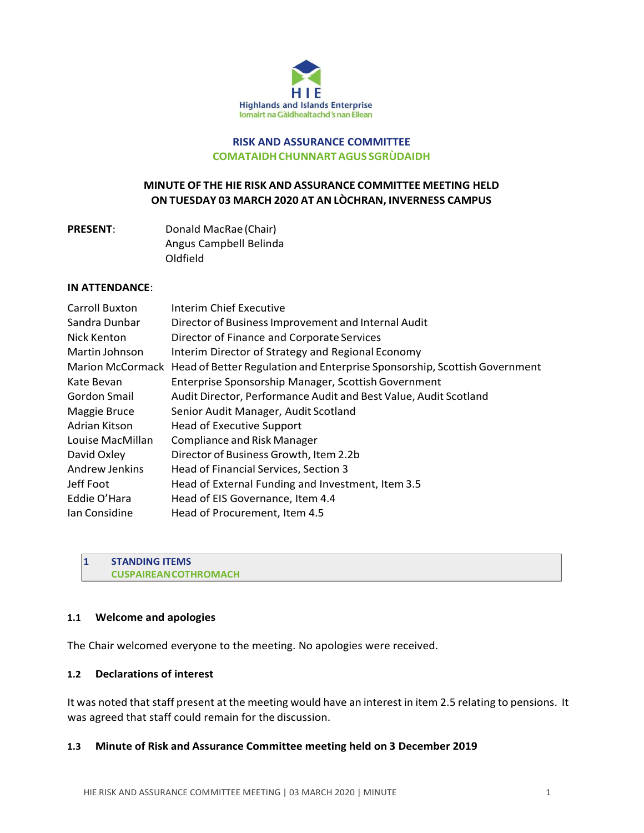

# **RISK AND ASSURANCE COMMITTEE COMATAIDHCHUNNARTAGUS SGRÙDAIDH**

# **MINUTE OF THE HIE RISK AND ASSURANCE COMMITTEE MEETING HELD ON TUESDAY 03 MARCH 2020 AT AN LÒCHRAN, INVERNESS CAMPUS**

| <b>PRESENT:</b> | Donald MacRae (Chair)  |
|-----------------|------------------------|
|                 | Angus Campbell Belinda |
|                 | Oldfield               |

#### **IN ATTENDANCE**:

| Carroll Buxton   | Interim Chief Executive                                                                    |
|------------------|--------------------------------------------------------------------------------------------|
| Sandra Dunbar    | Director of Business Improvement and Internal Audit                                        |
| Nick Kenton      | Director of Finance and Corporate Services                                                 |
| Martin Johnson   | Interim Director of Strategy and Regional Economy                                          |
|                  | Marion McCormack Head of Better Regulation and Enterprise Sponsorship, Scottish Government |
| Kate Bevan       | Enterprise Sponsorship Manager, Scottish Government                                        |
| Gordon Smail     | Audit Director, Performance Audit and Best Value, Audit Scotland                           |
| Maggie Bruce     | Senior Audit Manager, Audit Scotland                                                       |
| Adrian Kitson    | <b>Head of Executive Support</b>                                                           |
| Louise MacMillan | <b>Compliance and Risk Manager</b>                                                         |
| David Oxley      | Director of Business Growth, Item 2.2b                                                     |
| Andrew Jenkins   | Head of Financial Services, Section 3                                                      |
| Jeff Foot        | Head of External Funding and Investment, Item 3.5                                          |
| Eddie O'Hara     | Head of EIS Governance, Item 4.4                                                           |
| Ian Considine    | Head of Procurement, Item 4.5                                                              |

**1 STANDING ITEMS CUSPAIREANCOTHROMACH**

#### **1.1 Welcome and apologies**

The Chair welcomed everyone to the meeting. No apologies were received.

# **1.2 Declarations of interest**

It was noted that staff present at the meeting would have an interest in item 2.5 relating to pensions. It was agreed that staff could remain for the discussion.

# **1.3 Minute of Risk and Assurance Committee meeting held on 3 December 2019**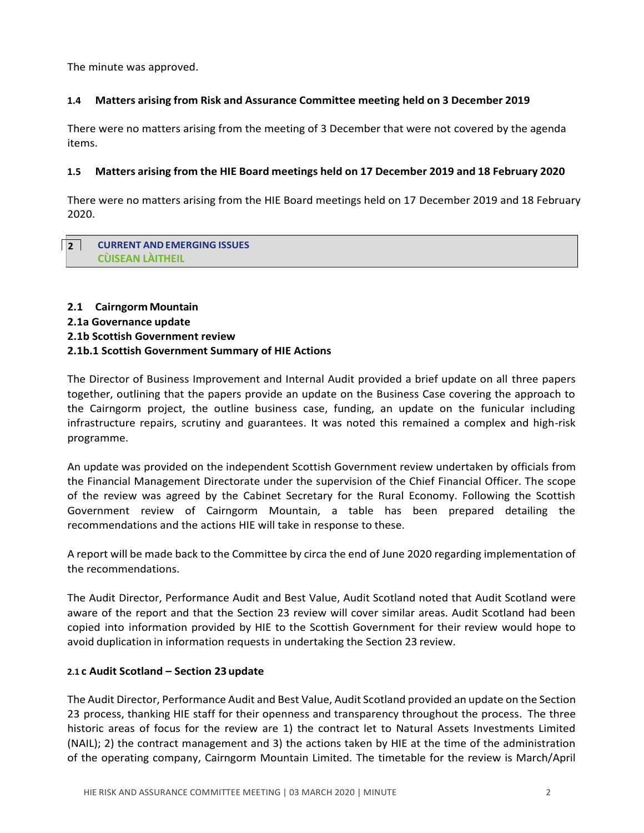The minute was approved.

# **1.4 Matters arising from Risk and Assurance Committee meeting held on 3 December 2019**

There were no matters arising from the meeting of 3 December that were not covered by the agenda items.

#### **1.5 Matters arising from the HIE Board meetings held on 17 December 2019 and 18 February 2020**

There were no matters arising from the HIE Board meetings held on 17 December 2019 and 18 February 2020.

### **2 CURRENT ANDEMERGING ISSUES CÙISEAN LÀITHEIL**

# **2.1 Cairngorm Mountain 2.1a Governance update 2.1b Scottish Government review 2.1b.1 Scottish Government Summary of HIE Actions**

The Director of Business Improvement and Internal Audit provided a brief update on all three papers together, outlining that the papers provide an update on the Business Case covering the approach to the Cairngorm project, the outline business case, funding, an update on the funicular including infrastructure repairs, scrutiny and guarantees. It was noted this remained a complex and high-risk programme.

An update was provided on the independent Scottish Government review undertaken by officials from the Financial Management Directorate under the supervision of the Chief Financial Officer. The scope of the review was agreed by the Cabinet Secretary for the Rural Economy. Following the Scottish Government review of Cairngorm Mountain, a table has been prepared detailing the recommendations and the actions HIE will take in response to these.

A report will be made back to the Committee by circa the end of June 2020 regarding implementation of the recommendations.

The Audit Director, Performance Audit and Best Value, Audit Scotland noted that Audit Scotland were aware of the report and that the Section 23 review will cover similar areas. Audit Scotland had been copied into information provided by HIE to the Scottish Government for their review would hope to avoid duplication in information requests in undertaking the Section 23 review.

#### **2.1 c Audit Scotland – Section 23 update**

The Audit Director, Performance Audit and Best Value, Audit Scotland provided an update on the Section 23 process, thanking HIE staff for their openness and transparency throughout the process. The three historic areas of focus for the review are 1) the contract let to Natural Assets Investments Limited (NAIL); 2) the contract management and 3) the actions taken by HIE at the time of the administration of the operating company, Cairngorm Mountain Limited. The timetable for the review is March/April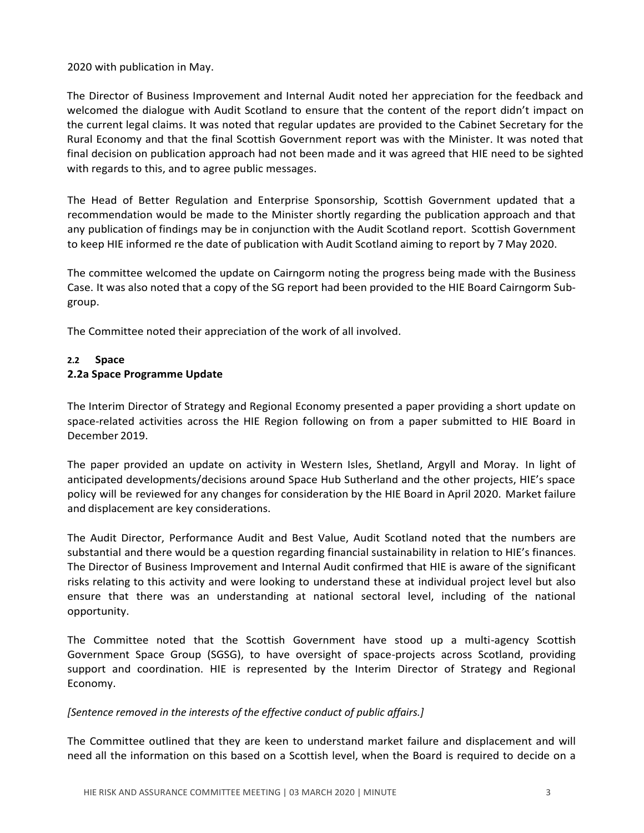2020 with publication in May.

The Director of Business Improvement and Internal Audit noted her appreciation for the feedback and welcomed the dialogue with Audit Scotland to ensure that the content of the report didn't impact on the current legal claims. It was noted that regular updates are provided to the Cabinet Secretary for the Rural Economy and that the final Scottish Government report was with the Minister. It was noted that final decision on publication approach had not been made and it was agreed that HIE need to be sighted with regards to this, and to agree public messages.

The Head of Better Regulation and Enterprise Sponsorship, Scottish Government updated that a recommendation would be made to the Minister shortly regarding the publication approach and that any publication of findings may be in conjunction with the Audit Scotland report. Scottish Government to keep HIE informed re the date of publication with Audit Scotland aiming to report by 7 May 2020.

The committee welcomed the update on Cairngorm noting the progress being made with the Business Case. It was also noted that a copy of the SG report had been provided to the HIE Board Cairngorm Subgroup.

The Committee noted their appreciation of the work of all involved.

# **2.2 Space 2.2a Space Programme Update**

The Interim Director of Strategy and Regional Economy presented a paper providing a short update on space-related activities across the HIE Region following on from a paper submitted to HIE Board in December 2019.

The paper provided an update on activity in Western Isles, Shetland, Argyll and Moray. In light of anticipated developments/decisions around Space Hub Sutherland and the other projects, HIE's space policy will be reviewed for any changes for consideration by the HIE Board in April 2020. Market failure and displacement are key considerations.

The Audit Director, Performance Audit and Best Value, Audit Scotland noted that the numbers are substantial and there would be a question regarding financial sustainability in relation to HIE's finances. The Director of Business Improvement and Internal Audit confirmed that HIE is aware of the significant risks relating to this activity and were looking to understand these at individual project level but also ensure that there was an understanding at national sectoral level, including of the national opportunity.

The Committee noted that the Scottish Government have stood up a multi-agency Scottish Government Space Group (SGSG), to have oversight of space-projects across Scotland, providing support and coordination. HIE is represented by the Interim Director of Strategy and Regional Economy.

# *[Sentence removed in the interests of the effective conduct of public affairs.]*

The Committee outlined that they are keen to understand market failure and displacement and will need all the information on this based on a Scottish level, when the Board is required to decide on a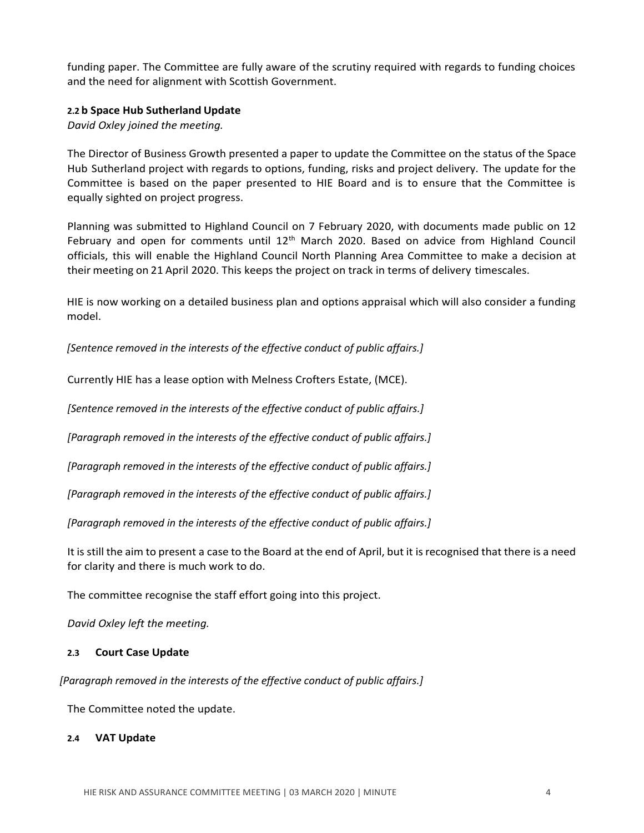funding paper. The Committee are fully aware of the scrutiny required with regards to funding choices and the need for alignment with Scottish Government.

# **2.2 b Space Hub Sutherland Update**

*David Oxley joined the meeting.*

The Director of Business Growth presented a paper to update the Committee on the status of the Space Hub Sutherland project with regards to options, funding, risks and project delivery. The update for the Committee is based on the paper presented to HIE Board and is to ensure that the Committee is equally sighted on project progress.

Planning was submitted to Highland Council on 7 February 2020, with documents made public on 12 February and open for comments until  $12<sup>th</sup>$  March 2020. Based on advice from Highland Council officials, this will enable the Highland Council North Planning Area Committee to make a decision at their meeting on 21 April 2020. This keeps the project on track in terms of delivery timescales.

HIE is now working on a detailed business plan and options appraisal which will also consider a funding model.

*[Sentence removed in the interests of the effective conduct of public affairs.]*

Currently HIE has a lease option with Melness Crofters Estate, (MCE).

*[Sentence removed in the interests of the effective conduct of public affairs.]*

*[Paragraph removed in the interests of the effective conduct of public affairs.]*

*[Paragraph removed in the interests of the effective conduct of public affairs.]*

*[Paragraph removed in the interests of the effective conduct of public affairs.]*

*[Paragraph removed in the interests of the effective conduct of public affairs.]*

It is still the aim to present a case to the Board at the end of April, but it isrecognised that there is a need for clarity and there is much work to do.

The committee recognise the staff effort going into this project.

*David Oxley left the meeting.*

# **2.3 Court Case Update**

*[Paragraph removed in the interests of the effective conduct of public affairs.]*

The Committee noted the update.

# **2.4 VAT Update**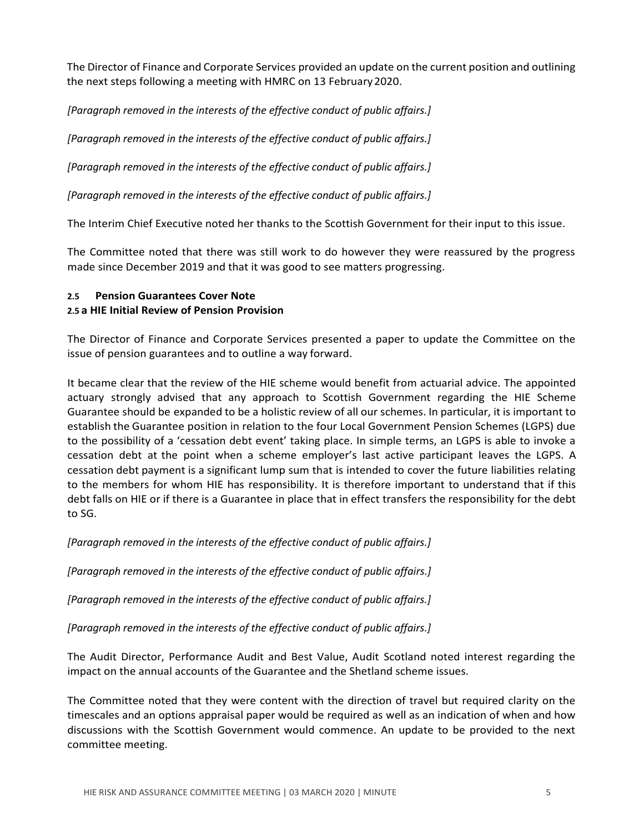The Director of Finance and Corporate Services provided an update on the current position and outlining the next steps following a meeting with HMRC on 13 February 2020.

*[Paragraph removed in the interests of the effective conduct of public affairs.]*

*[Paragraph removed in the interests of the effective conduct of public affairs.]*

*[Paragraph removed in the interests of the effective conduct of public affairs.]*

*[Paragraph removed in the interests of the effective conduct of public affairs.]*

The Interim Chief Executive noted her thanks to the Scottish Government for their input to this issue.

The Committee noted that there was still work to do however they were reassured by the progress made since December 2019 and that it was good to see matters progressing.

# **2.5 Pension Guarantees Cover Note**

# **2.5 a HIE Initial Review of Pension Provision**

The Director of Finance and Corporate Services presented a paper to update the Committee on the issue of pension guarantees and to outline a way forward.

It became clear that the review of the HIE scheme would benefit from actuarial advice. The appointed actuary strongly advised that any approach to Scottish Government regarding the HIE Scheme Guarantee should be expanded to be a holistic review of all our schemes. In particular, it is important to establish the Guarantee position in relation to the four Local Government Pension Schemes (LGPS) due to the possibility of a 'cessation debt event' taking place. In simple terms, an LGPS is able to invoke a cessation debt at the point when a scheme employer's last active participant leaves the LGPS. A cessation debt payment is a significant lump sum that is intended to cover the future liabilities relating to the members for whom HIE has responsibility. It is therefore important to understand that if this debt falls on HIE or if there is a Guarantee in place that in effect transfers the responsibility for the debt to SG.

*[Paragraph removed in the interests of the effective conduct of public affairs.]*

*[Paragraph removed in the interests of the effective conduct of public affairs.]*

*[Paragraph removed in the interests of the effective conduct of public affairs.]*

*[Paragraph removed in the interests of the effective conduct of public affairs.]*

The Audit Director, Performance Audit and Best Value, Audit Scotland noted interest regarding the impact on the annual accounts of the Guarantee and the Shetland scheme issues.

The Committee noted that they were content with the direction of travel but required clarity on the timescales and an options appraisal paper would be required as well as an indication of when and how discussions with the Scottish Government would commence. An update to be provided to the next committee meeting.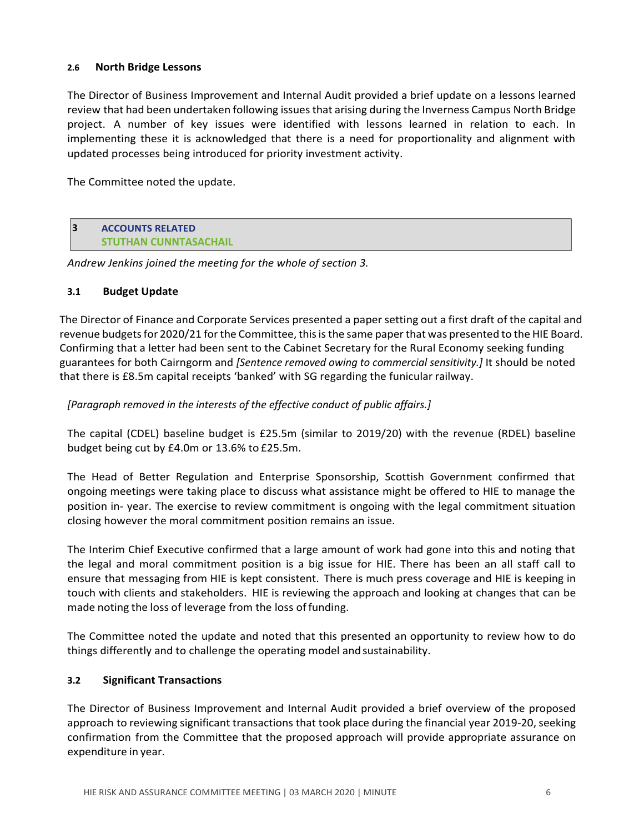# **2.6 North Bridge Lessons**

The Director of Business Improvement and Internal Audit provided a brief update on a lessons learned review that had been undertaken following issues that arising during the Inverness Campus North Bridge project. A number of key issues were identified with lessons learned in relation to each. In implementing these it is acknowledged that there is a need for proportionality and alignment with updated processes being introduced for priority investment activity.

The Committee noted the update.

**3 ACCOUNTS RELATED STUTHAN CUNNTASACHAIL**

*Andrew Jenkins joined the meeting for the whole of section 3.*

#### **3.1 Budget Update**

The Director of Finance and Corporate Services presented a paper setting out a first draft of the capital and revenue budgets for 2020/21 for the Committee, this is the same paper that was presented to the HIE Board. Confirming that a letter had been sent to the Cabinet Secretary for the Rural Economy seeking funding guarantees for both Cairngorm and *[Sentence removed owing to commercial sensitivity.]* It should be noted that there is £8.5m capital receipts 'banked' with SG regarding the funicular railway.

*[Paragraph removed in the interests of the effective conduct of public affairs.]*

The capital (CDEL) baseline budget is £25.5m (similar to 2019/20) with the revenue (RDEL) baseline budget being cut by £4.0m or 13.6% to £25.5m.

The Head of Better Regulation and Enterprise Sponsorship, Scottish Government confirmed that ongoing meetings were taking place to discuss what assistance might be offered to HIE to manage the position in- year. The exercise to review commitment is ongoing with the legal commitment situation closing however the moral commitment position remains an issue.

The Interim Chief Executive confirmed that a large amount of work had gone into this and noting that the legal and moral commitment position is a big issue for HIE. There has been an all staff call to ensure that messaging from HIE is kept consistent. There is much press coverage and HIE is keeping in touch with clients and stakeholders. HIE is reviewing the approach and looking at changes that can be made noting the loss of leverage from the loss of funding.

The Committee noted the update and noted that this presented an opportunity to review how to do things differently and to challenge the operating model and sustainability.

# **3.2 Significant Transactions**

The Director of Business Improvement and Internal Audit provided a brief overview of the proposed approach to reviewing significant transactions that took place during the financial year 2019-20, seeking confirmation from the Committee that the proposed approach will provide appropriate assurance on expenditure in year.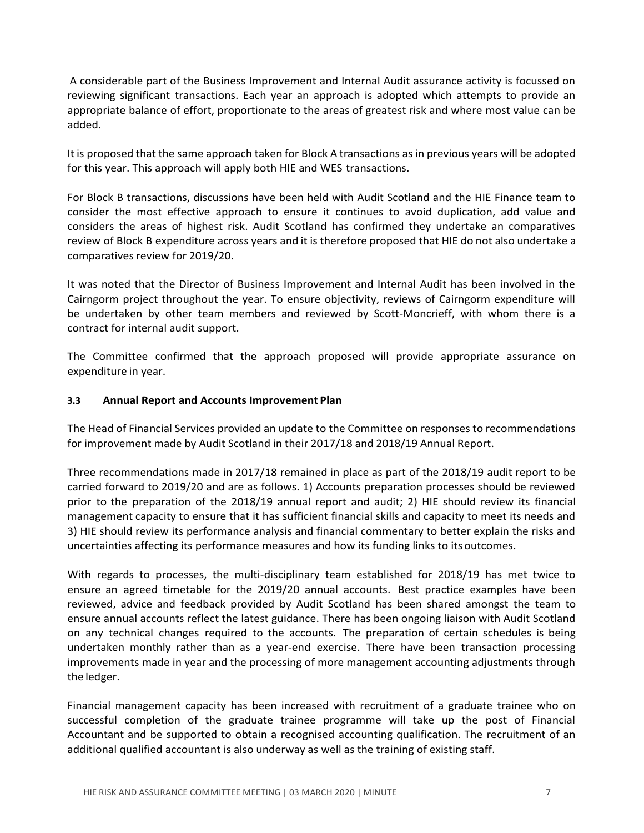A considerable part of the Business Improvement and Internal Audit assurance activity is focussed on reviewing significant transactions. Each year an approach is adopted which attempts to provide an appropriate balance of effort, proportionate to the areas of greatest risk and where most value can be added.

It is proposed that the same approach taken for Block A transactions as in previous years will be adopted for this year. This approach will apply both HIE and WES transactions.

For Block B transactions, discussions have been held with Audit Scotland and the HIE Finance team to consider the most effective approach to ensure it continues to avoid duplication, add value and considers the areas of highest risk. Audit Scotland has confirmed they undertake an comparatives review of Block B expenditure across years and it is therefore proposed that HIE do not also undertake a comparatives review for 2019/20.

It was noted that the Director of Business Improvement and Internal Audit has been involved in the Cairngorm project throughout the year. To ensure objectivity, reviews of Cairngorm expenditure will be undertaken by other team members and reviewed by Scott-Moncrieff, with whom there is a contract for internal audit support.

The Committee confirmed that the approach proposed will provide appropriate assurance on expenditure in year.

# **3.3 Annual Report and Accounts Improvement Plan**

The Head of Financial Services provided an update to the Committee on responses to recommendations for improvement made by Audit Scotland in their 2017/18 and 2018/19 Annual Report.

Three recommendations made in 2017/18 remained in place as part of the 2018/19 audit report to be carried forward to 2019/20 and are as follows. 1) Accounts preparation processes should be reviewed prior to the preparation of the 2018/19 annual report and audit; 2) HIE should review its financial management capacity to ensure that it has sufficient financial skills and capacity to meet its needs and 3) HIE should review its performance analysis and financial commentary to better explain the risks and uncertainties affecting its performance measures and how its funding links to its outcomes.

With regards to processes, the multi-disciplinary team established for 2018/19 has met twice to ensure an agreed timetable for the 2019/20 annual accounts. Best practice examples have been reviewed, advice and feedback provided by Audit Scotland has been shared amongst the team to ensure annual accounts reflect the latest guidance. There has been ongoing liaison with Audit Scotland on any technical changes required to the accounts. The preparation of certain schedules is being undertaken monthly rather than as a year-end exercise. There have been transaction processing improvements made in year and the processing of more management accounting adjustments through the ledger.

Financial management capacity has been increased with recruitment of a graduate trainee who on successful completion of the graduate trainee programme will take up the post of Financial Accountant and be supported to obtain a recognised accounting qualification. The recruitment of an additional qualified accountant is also underway as well as the training of existing staff.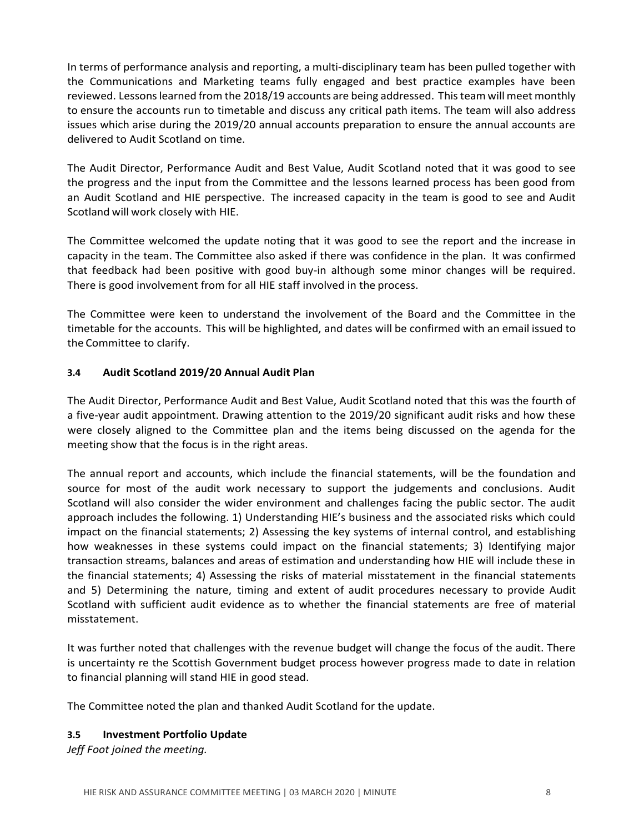In terms of performance analysis and reporting, a multi-disciplinary team has been pulled together with the Communications and Marketing teams fully engaged and best practice examples have been reviewed. Lessonslearned from the 2018/19 accounts are being addressed. Thisteamwill meet monthly to ensure the accounts run to timetable and discuss any critical path items. The team will also address issues which arise during the 2019/20 annual accounts preparation to ensure the annual accounts are delivered to Audit Scotland on time.

The Audit Director, Performance Audit and Best Value, Audit Scotland noted that it was good to see the progress and the input from the Committee and the lessons learned process has been good from an Audit Scotland and HIE perspective. The increased capacity in the team is good to see and Audit Scotland will work closely with HIE.

The Committee welcomed the update noting that it was good to see the report and the increase in capacity in the team. The Committee also asked if there was confidence in the plan. It was confirmed that feedback had been positive with good buy-in although some minor changes will be required. There is good involvement from for all HIE staff involved in the process.

The Committee were keen to understand the involvement of the Board and the Committee in the timetable for the accounts. This will be highlighted, and dates will be confirmed with an email issued to the Committee to clarify.

# **3.4 Audit Scotland 2019/20 Annual Audit Plan**

The Audit Director, Performance Audit and Best Value, Audit Scotland noted that this was the fourth of a five-year audit appointment. Drawing attention to the 2019/20 significant audit risks and how these were closely aligned to the Committee plan and the items being discussed on the agenda for the meeting show that the focus is in the right areas.

The annual report and accounts, which include the financial statements, will be the foundation and source for most of the audit work necessary to support the judgements and conclusions. Audit Scotland will also consider the wider environment and challenges facing the public sector. The audit approach includes the following. 1) Understanding HIE's business and the associated risks which could impact on the financial statements; 2) Assessing the key systems of internal control, and establishing how weaknesses in these systems could impact on the financial statements; 3) Identifying major transaction streams, balances and areas of estimation and understanding how HIE will include these in the financial statements; 4) Assessing the risks of material misstatement in the financial statements and 5) Determining the nature, timing and extent of audit procedures necessary to provide Audit Scotland with sufficient audit evidence as to whether the financial statements are free of material misstatement.

It was further noted that challenges with the revenue budget will change the focus of the audit. There is uncertainty re the Scottish Government budget process however progress made to date in relation to financial planning will stand HIE in good stead.

The Committee noted the plan and thanked Audit Scotland for the update.

# **3.5 Investment Portfolio Update**

*Jeff Foot joined the meeting.*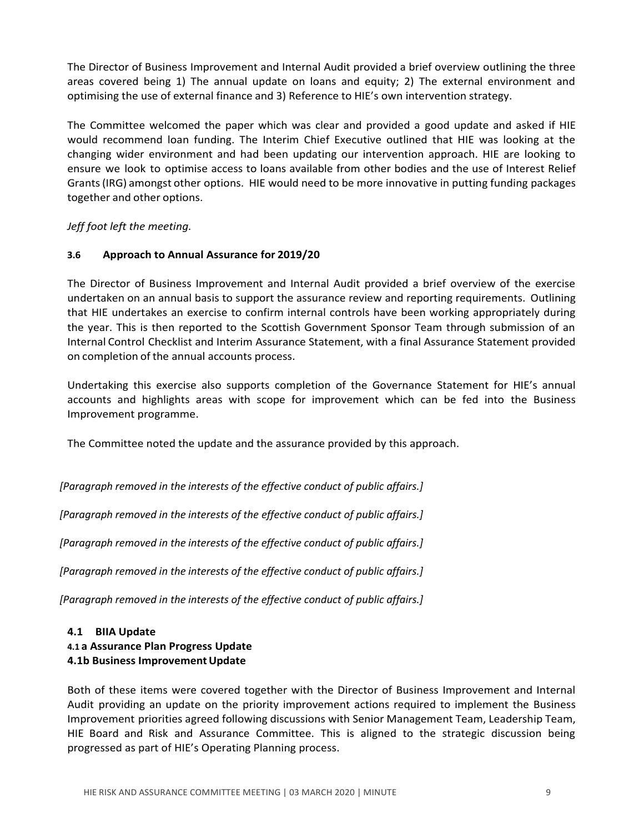The Director of Business Improvement and Internal Audit provided a brief overview outlining the three areas covered being 1) The annual update on loans and equity; 2) The external environment and optimising the use of external finance and 3) Reference to HIE's own intervention strategy.

The Committee welcomed the paper which was clear and provided a good update and asked if HIE would recommend loan funding. The Interim Chief Executive outlined that HIE was looking at the changing wider environment and had been updating our intervention approach. HIE are looking to ensure we look to optimise access to loans available from other bodies and the use of Interest Relief Grants(IRG) amongst other options. HIE would need to be more innovative in putting funding packages together and other options.

*Jeff foot left the meeting.*

# **3.6 Approach to Annual Assurance for 2019/20**

The Director of Business Improvement and Internal Audit provided a brief overview of the exercise undertaken on an annual basis to support the assurance review and reporting requirements. Outlining that HIE undertakes an exercise to confirm internal controls have been working appropriately during the year. This is then reported to the Scottish Government Sponsor Team through submission of an Internal Control Checklist and Interim Assurance Statement, with a final Assurance Statement provided on completion of the annual accounts process.

Undertaking this exercise also supports completion of the Governance Statement for HIE's annual accounts and highlights areas with scope for improvement which can be fed into the Business Improvement programme.

The Committee noted the update and the assurance provided by this approach.

*[Paragraph removed in the interests of the effective conduct of public affairs.]*

*[Paragraph removed in the interests of the effective conduct of public affairs.]*

*[Paragraph removed in the interests of the effective conduct of public affairs.]*

*[Paragraph removed in the interests of the effective conduct of public affairs.]*

*[Paragraph removed in the interests of the effective conduct of public affairs.]*

# **4.1 BIIA Update 4.1 a Assurance Plan Progress Update 4.1b Business ImprovementUpdate**

Both of these items were covered together with the Director of Business Improvement and Internal Audit providing an update on the priority improvement actions required to implement the Business Improvement priorities agreed following discussions with Senior Management Team, Leadership Team, HIE Board and Risk and Assurance Committee. This is aligned to the strategic discussion being progressed as part of HIE's Operating Planning process.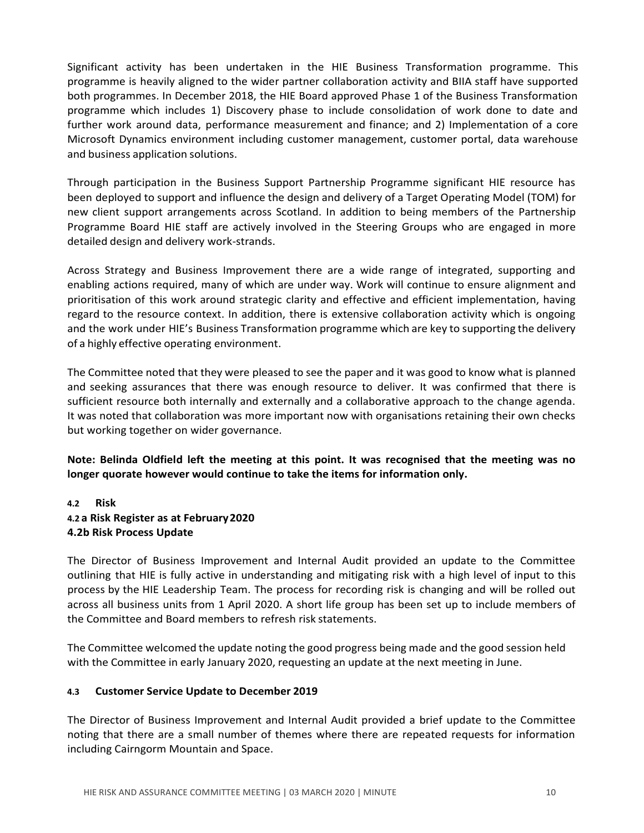Significant activity has been undertaken in the HIE Business Transformation programme. This programme is heavily aligned to the wider partner collaboration activity and BIIA staff have supported both programmes. In December 2018, the HIE Board approved Phase 1 of the Business Transformation programme which includes 1) Discovery phase to include consolidation of work done to date and further work around data, performance measurement and finance; and 2) Implementation of a core Microsoft Dynamics environment including customer management, customer portal, data warehouse and business application solutions.

Through participation in the Business Support Partnership Programme significant HIE resource has been deployed to support and influence the design and delivery of a Target Operating Model (TOM) for new client support arrangements across Scotland. In addition to being members of the Partnership Programme Board HIE staff are actively involved in the Steering Groups who are engaged in more detailed design and delivery work-strands.

Across Strategy and Business Improvement there are a wide range of integrated, supporting and enabling actions required, many of which are under way. Work will continue to ensure alignment and prioritisation of this work around strategic clarity and effective and efficient implementation, having regard to the resource context. In addition, there is extensive collaboration activity which is ongoing and the work under HIE's Business Transformation programme which are key to supporting the delivery of a highly effective operating environment.

The Committee noted that they were pleased to see the paper and it was good to know what is planned and seeking assurances that there was enough resource to deliver. It was confirmed that there is sufficient resource both internally and externally and a collaborative approach to the change agenda. It was noted that collaboration was more important now with organisations retaining their own checks but working together on wider governance.

# **Note: Belinda Oldfield left the meeting at this point. It was recognised that the meeting was no longer quorate however would continue to take the items for information only.**

# **4.2 Risk 4.2 a Risk Register as at February2020 4.2b Risk Process Update**

The Director of Business Improvement and Internal Audit provided an update to the Committee outlining that HIE is fully active in understanding and mitigating risk with a high level of input to this process by the HIE Leadership Team. The process for recording risk is changing and will be rolled out across all business units from 1 April 2020. A short life group has been set up to include members of the Committee and Board members to refresh risk statements.

The Committee welcomed the update noting the good progress being made and the good session held with the Committee in early January 2020, requesting an update at the next meeting in June.

# **4.3 Customer Service Update to December 2019**

The Director of Business Improvement and Internal Audit provided a brief update to the Committee noting that there are a small number of themes where there are repeated requests for information including Cairngorm Mountain and Space.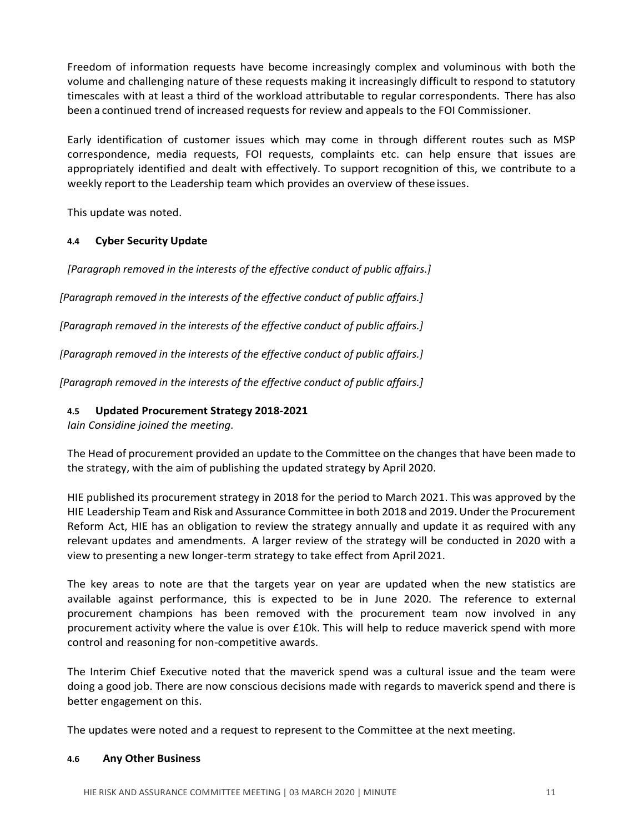Freedom of information requests have become increasingly complex and voluminous with both the volume and challenging nature of these requests making it increasingly difficult to respond to statutory timescales with at least a third of the workload attributable to regular correspondents. There has also been a continued trend of increased requests for review and appeals to the FOI Commissioner.

Early identification of customer issues which may come in through different routes such as MSP correspondence, media requests, FOI requests, complaints etc. can help ensure that issues are appropriately identified and dealt with effectively. To support recognition of this, we contribute to a weekly report to the Leadership team which provides an overview of theseissues.

This update was noted.

# **4.4 Cyber Security Update**

*[Paragraph removed in the interests of the effective conduct of public affairs.]*

*[Paragraph removed in the interests of the effective conduct of public affairs.]*

*[Paragraph removed in the interests of the effective conduct of public affairs.]*

*[Paragraph removed in the interests of the effective conduct of public affairs.]*

*[Paragraph removed in the interests of the effective conduct of public affairs.]*

# **4.5 Updated Procurement Strategy 2018-2021**

*Iain Considine joined the meeting.*

The Head of procurement provided an update to the Committee on the changes that have been made to the strategy, with the aim of publishing the updated strategy by April 2020.

HIE published its procurement strategy in 2018 for the period to March 2021. This was approved by the HIE Leadership Team and Risk and Assurance Committee in both 2018 and 2019. Under the Procurement Reform Act, HIE has an obligation to review the strategy annually and update it as required with any relevant updates and amendments. A larger review of the strategy will be conducted in 2020 with a view to presenting a new longer-term strategy to take effect from April 2021.

The key areas to note are that the targets year on year are updated when the new statistics are available against performance, this is expected to be in June 2020. The reference to external procurement champions has been removed with the procurement team now involved in any procurement activity where the value is over £10k. This will help to reduce maverick spend with more control and reasoning for non-competitive awards.

The Interim Chief Executive noted that the maverick spend was a cultural issue and the team were doing a good job. There are now conscious decisions made with regards to maverick spend and there is better engagement on this.

The updates were noted and a request to represent to the Committee at the next meeting.

# **4.6 Any Other Business**